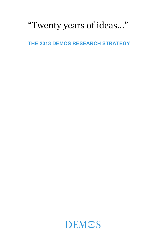# "Twenty years of ideas…"

**THE 2013 DEMOS RESEARCH STRATEGY** 

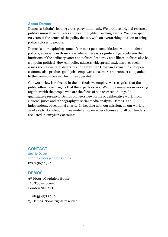#### **About Demos**

Demos is Britain's leading cross-party think tank. We produce original research, publish innovative thinkers and host thought-provoking events. We have spent 20 years at the centre of the policy debate, with an overarching mission to bring politics closer to people.

Demos is now exploring some of the most persistent frictions within modern politics, especially in those areas where there is a significant gap between the intuitions of the ordinary voter and political leaders. Can a liberal politics also be a popular politics? How can policy address widespread anxieties over social issues such as welfare, diversity and family life? How can a dynamic and open economy also produce good jobs, empower consumers and connect companies to the communities in which they operate?

Our worldview is reflected in the methods we employ: we recognise that the public often have insights that the experts do not. We pride ourselves in working together with the people who are the focus of our research. Alongside quantitative research, Demos pioneers new forms of deliberative work, from citizens' juries and ethnography to social media analysis. Demos is an independent, educational charity. In keeping with our mission, all our work is available to download for free under an open access license and all our funders are listed in our yearly accounts.

#### **CONTACT**

Sophie Duder sophie.duder@demos.co.uk 0207 367 6326

#### **DEMOS**

3rd Floor, Magdalen House 136 Tooley Street London SE1 2TU

T 0845 458 5949 © Demos. Some rights reserved.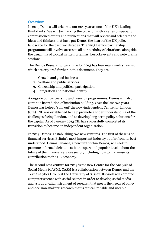#### **Overview**

In 2013 Demos will celebrate our 20th year as one of the UK's leading think-tanks. We will be marking the occasion with a series of specially commissioned events and publications that will review and celebrate the ideas and thinkers that have put Demos the heart of the UK policy landscape for the past two decades. The 2013 Demos partnership programme will involve access to all our birthday celebrations, alongside the usual mix of topical written briefings, bespoke events and networking sessions.

The Demos Research programme for 2013 has four main work streams, which are explored further in this document. They are:

- 1. Growth and good business
- 2. Welfare and public services
- 3. Citizenship and political participation
- 4. Integration and national identity

Alongside our partnership and research programmes, Demos will also continue its tradition of institution building. Over the last two years Demos has helped 'spin out' the now-independent Centre for London (CfL). CfL was established to help promote a wider understanding of the challenges facing London, and to develop long-term policy solutions for the capital. As of January 2013 CfL has successfully completed its transition to become an independent organisation.

In 2013 Demos is establishing two new ventures. The first of these is on financial services, Britain's most important industry but far from its best understood. Demos Finance, a new unit within Demos, will seek to promote informed debate – at both expert and popular level - about the future of the financial services sector, including how to maximise its contribution to the UK economy.

The second new venture for 2013 is the new Centre for the Analysis of Social Media (CASM). CASM is a collaboration between Demos and the Text Analytics Group at the University of Sussex. Its work will combine computer science with social science in order to develop social media analysis as a valid instrument of research that meets the needs of policy and decision-makers: research that is ethical, reliable and useable.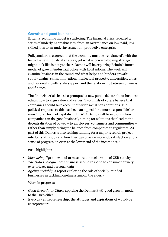## **Growth and good business**

Britain's economic model is stuttering. The financial crisis revealed a series of underlying weaknesses, from an overreliance on low-paid, lowskilled jobs to an underinvestment in productive enterprise.

Policymakers are agreed that the economy must be 'rebalanced', with the help of a new industrial strategy, yet what a forward-looking strategy might look like is not yet clear. Demos will be exploring Britain's future model of growth/industrial policy with Lord Adonis. The work will examine business in the round and what helps and hinders growth: supply chains, skills, innovation, intellectual property, universities, cities and regional growth, state support and the relationship between business and finance.

The financial crisis has also prompted a new public debate about business ethics: how to align value and values. Two thirds of voters believe that companies should take account of wider social considerations. The political response to this has been an appeal for a more 'responsible' or even 'moral' form of capitalism. In 2013 Demos will be exploring how companies can do 'good business', aiming for solutions that lead to the decentralisation of power – to employees, consumers and communities – rather than simply tilting the balance from companies to regulators. As part of this Demos is also seeking funding for a major research project into low status jobs and how they can provide more job satisfaction and a sense of progression even at the lower end of the income scale.

2012 highlights:

- *Measuring Up*: a new tool to measure the social value of CSR activity
- *The Data Dialogue*: how business should respond to consumer anxiety over privacy and personal data
- *Ageing Sociably*: a report exploring the role of socially-minded businesses in tackling loneliness among the elderly

Work in progress:

- *Good Growth for Cities*: applying the Demos/PwC 'good growth' model to the UK's cities
- Everyday entrepreneurship: the attitudes and aspirations of would-be entrepreneurs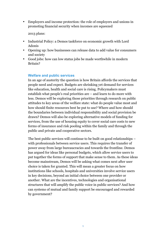• Employers and income protection: the role of employers and unions in promoting financial security when incomes are squeezed

2013 plans:

- Industrial Policy: a Demos taskforce on economic growth with Lord Adonis
- Opening up: how businesses can release data to add value for consumers and society
- Good jobs: how can low status jobs be made worthwhile in modern Britain?

#### **Welfare and public services**

In an age of austerity the question is how Britain affords the services that people need and expect. Budgets are shrinking yet demand for services like education, health and social care is rising. Policymakers must establish what people's real priorities are – and learn to do more with less. Demos will be exploring those priorities through research on public attitudes to key areas of the welfare state: what do people value most and how should finite resources best be put to use? Where and how should the boundaries between individual responsibility and social provision be drawn? Demos will also be exploring alternative models of funding for services, from the use of housing equity to cover social care costs to new forms of insurance and risk pooling within the family and through the public and private and cooperative sectors.

The best public services will continue to be built on good relationships – with professionals between service users. This requires the transfer of power away from large bureaucracies and towards the frontline. Demos has argued for ideas like personal budgets, which allow service users to put together the forms of support that make sense to them. As these ideas become mainstream, Demos will be asking what comes next after user choice is taken for granted. This will mean a greater focus on how institutions like schools, hospitals and universities involve service users in key decisions, beyond an initial choice between one provider or another. What are the incentives, technologies and organisational structures that will amplify the public voice in public services? And how can systems of mutual and family support be encouraged and rewarded by government?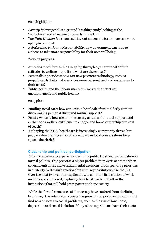2012 highlights

- *Poverty in Perspective*: a ground-breaking study looking at the 'multidimensional' nature of poverty in the UK
- *The Data Dividend*: a report setting out an agenda for transparency and open government
- *Rebalancing Risk and Responsibility*: how government can 'nudge' citizens to take more responsibility for their own wellbeing

Work in progress

- Attitudes to welfare: is the UK going through a generational shift in attitudes to welfare – and if so, what are the causes?
- Personalising services: how can new payment technology, such as prepaid cards, help make services more personalised and responsive to their users?
- Public health and the labour market: what are the effects of unemployment and public health?

2013 plans

- Funding social care: how can Britain best look after its elderly without discouraging personal thrift and mutual support?
- Family welfare: how are families acting as units of mutual support and exchange as welfare entitlements change and home ownership slips out of reach?
- Reshaping the NHS: healthcare is increasingly community driven but people value their local hospitals – how can local conversations help square the circle?

# **Citizenship and political participation**

Britain continues to experience declining public trust and participation in formal politics. This presents a bigger problem than ever, at a time when governments must make fundamental decisions, from spending priorities in austerity to Britain's relationship with key institutions like the EU. Over the next twelve months, Demos will continue its tradition of work on democratic renewal, exploring how trust can be rebuilt in the institutions that still hold great power to shape society.

While the formal structures of democracy have suffered from declining legitimacy, the role of civil society has grown in importance. Britain must find new answers to social problems, such as the rise of loneliness, depression and social isolation. Many of these problems have their roots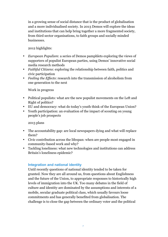in a growing sense of social distance that is the product of globalisation and a more individualised society. In 2013 Demos will explore the ideas and institutions that can help bring together a more fragmented society, from third sector organisations, to faith groups and socially minded businesses.

# 2012 highlights:

- *European Populism*: a series of Demos pamphlets exploring the views of supporters of populist European parties, using Demos' innovative social media research methods
- *Faithful Citizens*: exploring the relationship between faith, politics and civic participation
- *Feeling the Effects*: research into the transmission of alcoholism from one generation to the next

## Work in progress

- Political populists: what are the new populist movements on the Left and Right of politics?
- EU and democracy: what do today's youth think of the European Union?
- Youth participation: an evaluation of the impact of scouting on young people's job prospects

# 2013 plans

- The accountability gap: are local newspapers dying and what will replace them?
- Civic contribution across the lifespan: when are people most engaged in community-based work and why?
- Tackling loneliness: what new technologies and institutions can address Britain's loneliness epidemic?

# **Integration and national identity**

Until recently questions of national identity tended to be taken for granted. Now they are all around us, from questions about Englishness and the future of the Union, to appropriate responses to historically high levels of immigration into the UK. Too many debates in the field of culture and identity are dominated by the assumptions and interests of a mobile, secular graduate political class, which usually favours loose commitments and has generally benefited from globalisation. The challenge is to close the gap between the ordinary voter and the political